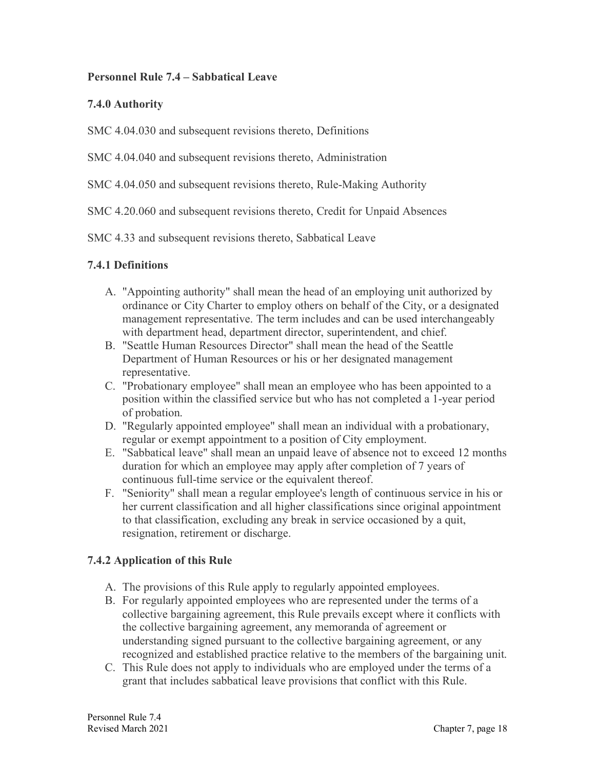#### **Personnel Rule 7.4 – Sabbatical Leave**

#### **7.4.0 Authority**

SMC 4.04.030 and subsequent revisions thereto, Definitions

SMC 4.04.040 and subsequent revisions thereto, Administration

#### SMC 4.04.050 and subsequent revisions thereto, Rule-Making Authority

SMC 4.20.060 and subsequent revisions thereto, Credit for Unpaid Absences

SMC 4.33 and subsequent revisions thereto, Sabbatical Leave

#### **7.4.1 Definitions**

- A. "Appointing authority" shall mean the head of an employing unit authorized by ordinance or City Charter to employ others on behalf of the City, or a designated management representative. The term includes and can be used interchangeably with department head, department director, superintendent, and chief.
- B. "Seattle Human Resources Director" shall mean the head of the Seattle Department of Human Resources or his or her designated management representative.
- C. "Probationary employee" shall mean an employee who has been appointed to a position within the classified service but who has not completed a 1-year period of probation.
- D. "Regularly appointed employee" shall mean an individual with a probationary, regular or exempt appointment to a position of City employment.
- E. "Sabbatical leave" shall mean an unpaid leave of absence not to exceed 12 months duration for which an employee may apply after completion of 7 years of continuous full-time service or the equivalent thereof.
- F. "Seniority" shall mean a regular employee's length of continuous service in his or her current classification and all higher classifications since original appointment to that classification, excluding any break in service occasioned by a quit, resignation, retirement or discharge.

# **7.4.2 Application of this Rule**

- A. The provisions of this Rule apply to regularly appointed employees.
- B. For regularly appointed employees who are represented under the terms of a collective bargaining agreement, this Rule prevails except where it conflicts with the collective bargaining agreement, any memoranda of agreement or understanding signed pursuant to the collective bargaining agreement, or any recognized and established practice relative to the members of the bargaining unit.
- C. This Rule does not apply to individuals who are employed under the terms of a grant that includes sabbatical leave provisions that conflict with this Rule.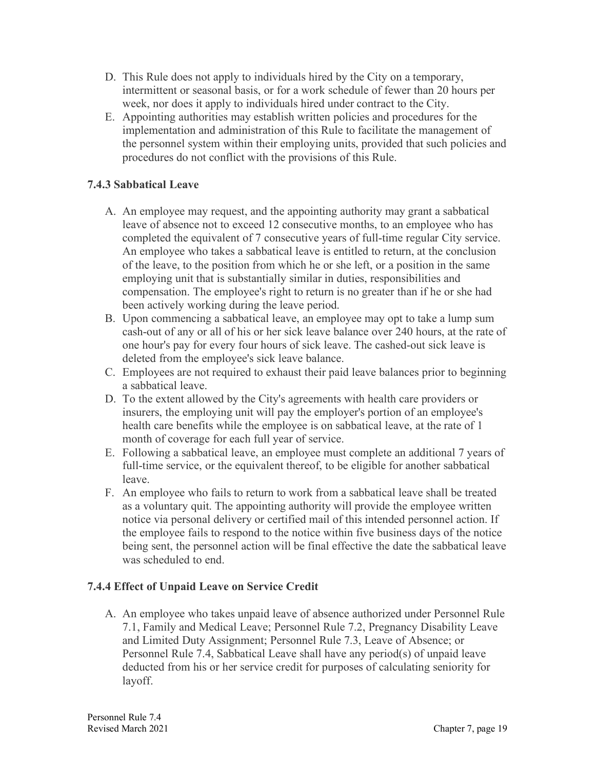- D. This Rule does not apply to individuals hired by the City on a temporary, intermittent or seasonal basis, or for a work schedule of fewer than 20 hours per week, nor does it apply to individuals hired under contract to the City.
- E. Appointing authorities may establish written policies and procedures for the implementation and administration of this Rule to facilitate the management of the personnel system within their employing units, provided that such policies and procedures do not conflict with the provisions of this Rule.

# **7.4.3 Sabbatical Leave**

- A. An employee may request, and the appointing authority may grant a sabbatical leave of absence not to exceed 12 consecutive months, to an employee who has completed the equivalent of 7 consecutive years of full-time regular City service. An employee who takes a sabbatical leave is entitled to return, at the conclusion of the leave, to the position from which he or she left, or a position in the same employing unit that is substantially similar in duties, responsibilities and compensation. The employee's right to return is no greater than if he or she had been actively working during the leave period.
- B. Upon commencing a sabbatical leave, an employee may opt to take a lump sum cash-out of any or all of his or her sick leave balance over 240 hours, at the rate of one hour's pay for every four hours of sick leave. The cashed-out sick leave is deleted from the employee's sick leave balance.
- C. Employees are not required to exhaust their paid leave balances prior to beginning a sabbatical leave.
- D. To the extent allowed by the City's agreements with health care providers or insurers, the employing unit will pay the employer's portion of an employee's health care benefits while the employee is on sabbatical leave, at the rate of 1 month of coverage for each full year of service.
- E. Following a sabbatical leave, an employee must complete an additional 7 years of full-time service, or the equivalent thereof, to be eligible for another sabbatical leave.
- F. An employee who fails to return to work from a sabbatical leave shall be treated as a voluntary quit. The appointing authority will provide the employee written notice via personal delivery or certified mail of this intended personnel action. If the employee fails to respond to the notice within five business days of the notice being sent, the personnel action will be final effective the date the sabbatical leave was scheduled to end.

# **7.4.4 Effect of Unpaid Leave on Service Credit**

A. An employee who takes unpaid leave of absence authorized under Personnel Rule 7.1, Family and Medical Leave; Personnel Rule 7.2, Pregnancy Disability Leave and Limited Duty Assignment; Personnel Rule 7.3, Leave of Absence; or Personnel Rule 7.4, Sabbatical Leave shall have any period(s) of unpaid leave deducted from his or her service credit for purposes of calculating seniority for layoff.